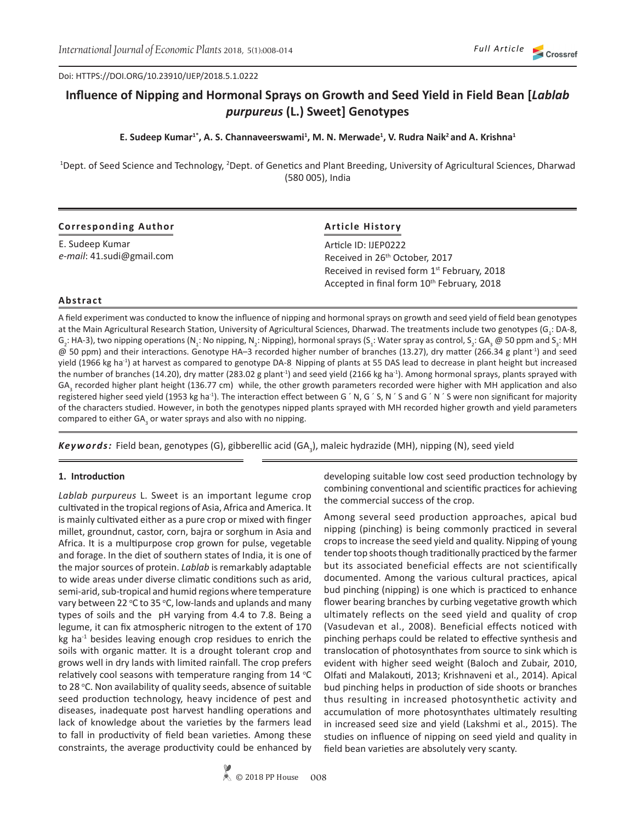Doi: HTTPS://DOI.ORG/10.23910/IJEP/2018.5.1.0222

# **Influence of Nipping and Hormonal Sprays on Growth and Seed Yield in Field Bean [***Lablab purpureus* **(L.) Sweet] Genotypes**

## **E. Sudeep Kumar1\*, A. S. Channaveerswami<sup>1</sup> , M. N. Merwade<sup>1</sup> , V. Rudra Naik<sup>2</sup> and A. Krishna<sup>1</sup>**

<sup>1</sup>Dept. of Seed Science and Technology, <sup>2</sup>Dept. of Genetics and Plant Breeding, University of Agricultural Sciences, Dharwad (580 005), India

| <b>Corresponding Author</b>                  | <b>Article History</b>                                                                                            |
|----------------------------------------------|-------------------------------------------------------------------------------------------------------------------|
| E. Sudeep Kumar<br>e-mail: 41.sudi@gmail.com | Article ID: IJEP0222<br>Received in 26 <sup>th</sup> October, 2017                                                |
|                                              | Received in revised form 1 <sup>st</sup> February, 2018<br>Accepted in final form 10 <sup>th</sup> February, 2018 |

#### **Abstract**

A field experiment was conducted to know the influence of nipping and hormonal sprays on growth and seed yield of field bean genotypes at the Main Agricultural Research Station, University of Agricultural Sciences, Dharwad. The treatments include two genotypes (G<sub>1</sub>: DA-8, G<sub>2</sub>: HA-3), two nipping operations (N<sub>1</sub>: No nipping, N<sub>2</sub>: Nipping), hormonal sprays (S<sub>1</sub>: Water spray as control, S<sub>2</sub>: GA<sub>3</sub> @ 50 ppm and S<sub>3</sub>: MH @ 50 ppm) and their interactions. Genotype HA–3 recorded higher number of branches (13.27), dry matter (266.34 g plant-1) and seed yield (1966 kg ha<sup>-1</sup>) at harvest as compared to genotype DA-8 Nipping of plants at 55 DAS lead to decrease in plant height but increased the number of branches (14.20), dry matter (283.02 g plant<sup>-1</sup>) and seed yield (2166 kg ha<sup>-1</sup>). Among hormonal sprays, plants sprayed with GA<sub>3</sub> recorded higher plant height (136.77 cm) while, the other growth parameters recorded were higher with MH application and also registered higher seed yield (1953 kg ha<sup>-1</sup>). The interaction effect between G ' N, G ' S, N ' S and G ' N ' S were non significant for majority of the characters studied. However, in both the genotypes nipped plants sprayed with MH recorded higher growth and yield parameters compared to either GA<sub>3</sub> or water sprays and also with no nipping.

Keywords: Field bean, genotypes (G), gibberellic acid (GA<sub>3</sub>), maleic hydrazide (MH), nipping (N), seed yield

#### **1. Introduction**

*Lablab purpureus* L. Sweet is an important legume crop cultivated in the tropical regions of Asia, Africa and America. It is mainly cultivated either as a pure crop or mixed with finger millet, groundnut, castor, corn, bajra or sorghum in Asia and Africa. It is a multipurpose crop grown for pulse, vegetable and forage. In the diet of southern states of India, it is one of the major sources of protein. *Lablab* is remarkably adaptable to wide areas under diverse climatic conditions such as arid, semi-arid, sub-tropical and humid regions where temperature vary between 22  $\degree$ C to 35  $\degree$ C, low-lands and uplands and many types of soils and the pH varying from 4.4 to 7.8. Being a legume, it can fix atmospheric nitrogen to the extent of 170 kg ha<sup>-1</sup> besides leaving enough crop residues to enrich the soils with organic matter. It is a drought tolerant crop and grows well in dry lands with limited rainfall. The crop prefers relatively cool seasons with temperature ranging from  $14$   $°C$ to 28 °C. Non availability of quality seeds, absence of suitable seed production technology, heavy incidence of pest and diseases, inadequate post harvest handling operations and lack of knowledge about the varieties by the farmers lead to fall in productivity of field bean varieties. Among these constraints, the average productivity could be enhanced by

developing suitable low cost seed production technology by combining conventional and scientific practices for achieving the commercial success of the crop.

Among several seed production approaches, apical bud nipping (pinching) is being commonly practiced in several crops to increase the seed yield and quality. Nipping of young tender top shoots though traditionally practiced by the farmer but its associated beneficial effects are not scientifically documented. Among the various cultural practices, apical bud pinching (nipping) is one which is practiced to enhance flower bearing branches by curbing vegetative growth which ultimately reflects on the seed yield and quality of crop (Vasudevan et al., 2008). Beneficial effects noticed with pinching perhaps could be related to effective synthesis and translocation of photosynthates from source to sink which is evident with higher seed weight (Baloch and Zubair, 2010, Olfati and Malakouti, 2013; Krishnaveni et al., 2014). Apical bud pinching helps in production of side shoots or branches thus resulting in increased photosynthetic activity and accumulation of more photosynthates ultimately resulting in increased seed size and yield (Lakshmi et al., 2015). The studies on influence of nipping on seed yield and quality in field bean varieties are absolutely very scanty.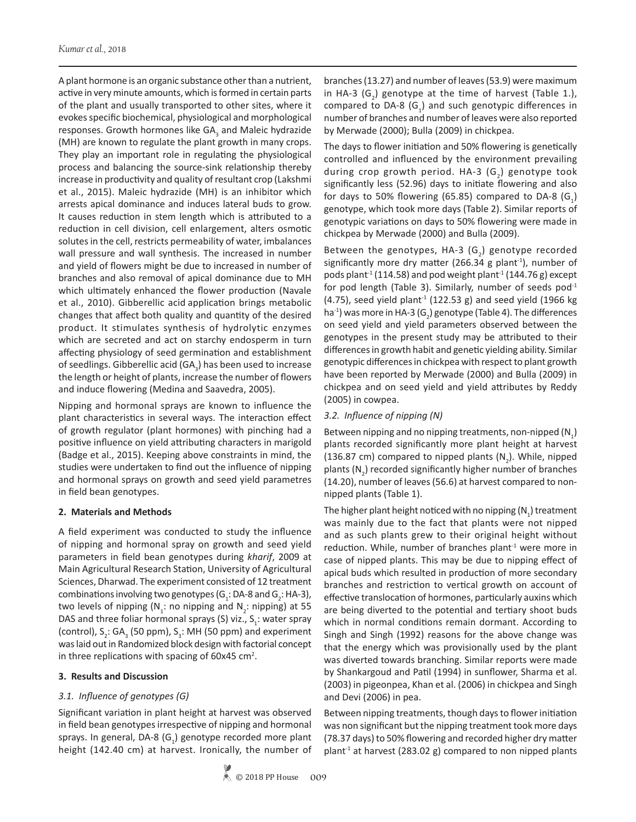A plant hormone is an organic substance other than a nutrient, active in very minute amounts, which is formed in certain parts of the plant and usually transported to other sites, where it evokes specific biochemical, physiological and morphological responses. Growth hormones like GA<sub>3</sub> and Maleic hydrazide (MH) are known to regulate the plant growth in many crops. They play an important role in regulating the physiological process and balancing the source-sink relationship thereby increase in productivity and quality of resultant crop (Lakshmi et al., 2015). Maleic hydrazide (MH) is an inhibitor which arrests apical dominance and induces lateral buds to grow. It causes reduction in stem length which is attributed to a reduction in cell division, cell enlargement, alters osmotic solutes in the cell, restricts permeability of water, imbalances wall pressure and wall synthesis. The increased in number and yield of flowers might be due to increased in number of branches and also removal of apical dominance due to MH which ultimately enhanced the flower production (Navale et al., 2010). Gibberellic acid application brings metabolic changes that affect both quality and quantity of the desired product. It stimulates synthesis of hydrolytic enzymes which are secreted and act on starchy endosperm in turn affecting physiology of seed germination and establishment of seedlings. Gibberellic acid (GA<sub>3</sub>) has been used to increase the length or height of plants, increase the number of flowers and induce flowering (Medina and Saavedra, 2005).

Nipping and hormonal sprays are known to influence the plant characteristics in several ways. The interaction effect of growth regulator (plant hormones) with pinching had a positive influence on yield attributing characters in marigold (Badge et al., 2015). Keeping above constraints in mind, the studies were undertaken to find out the influence of nipping and hormonal sprays on growth and seed yield parametres in field bean genotypes.

## **2. Materials and Methods**

A field experiment was conducted to study the influence of nipping and hormonal spray on growth and seed yield parameters in field bean genotypes during *kharif*, 2009 at Main Agricultural Research Station, University of Agricultural Sciences, Dharwad. The experiment consisted of 12 treatment combinations involving two genotypes (G<sub>1</sub>: DA-8 and G<sub>2</sub>: HA-3), two levels of nipping ( $N_1$ : no nipping and  $N_2$ : nipping) at 55 DAS and three foliar hormonal sprays (S) viz.,  $S_1$ : water spray (control),  $S_2$ : GA<sub>3</sub> (50 ppm),  $S_3$ : MH (50 ppm) and experiment was laid out in Randomized block design with factorial concept in three replications with spacing of  $60x45$  cm<sup>2</sup>.

## **3. Results and Discussion**

# *3.1. Influence of genotypes (G)*

Significant variation in plant height at harvest was observed in field bean genotypes irrespective of nipping and hormonal sprays. In general, DA-8 (G<sub>1</sub>) genotype recorded more plant height (142.40 cm) at harvest. Ironically, the number of

branches (13.27) and number of leaves (53.9) were maximum in HA-3 (G<sub>2</sub>) genotype at the time of harvest (Table 1.), compared to DA-8  $(G_1)$  and such genotypic differences in number of branches and number of leaves were also reported by Merwade (2000); Bulla (2009) in chickpea.

The days to flower initiation and 50% flowering is genetically controlled and influenced by the environment prevailing during crop growth period. HA-3  $(G_2)$  genotype took significantly less (52.96) days to initiate flowering and also for days to 50% flowering (65.85) compared to DA-8  $(G_1)$ genotype, which took more days (Table 2). Similar reports of genotypic variations on days to 50% flowering were made in chickpea by Merwade (2000) and Bulla (2009).

Between the genotypes, HA-3  $(G_2)$  genotype recorded significantly more dry matter (266.34 g plant<sup>-1</sup>), number of pods plant<sup>-1</sup> (114.58) and pod weight plant<sup>-1</sup> (144.76 g) except for pod length (Table 3). Similarly, number of seeds pod $^{-1}$ (4.75), seed yield plant<sup>-1</sup> (122.53 g) and seed yield (1966 kg ha $^{\text{-1}}$ ) was more in HA-3 (G<sub>2</sub>) genotype (Table 4). The differences on seed yield and yield parameters observed between the genotypes in the present study may be attributed to their differences in growth habit and genetic yielding ability. Similar genotypic differences in chickpea with respect to plant growth have been reported by Merwade (2000) and Bulla (2009) in chickpea and on seed yield and yield attributes by Reddy (2005) in cowpea.

# *3.2. Influence of nipping (N)*

Between nipping and no nipping treatments, non-nipped (N<sub>1</sub>) plants recorded significantly more plant height at harvest (136.87 cm) compared to nipped plants  $(N_2)$ . While, nipped plants (N<sub>2</sub>) recorded significantly higher number of branches (14.20), number of leaves (56.6) at harvest compared to nonnipped plants (Table 1).

The higher plant height noticed with no nipping (N<sub>1</sub>) treatment was mainly due to the fact that plants were not nipped and as such plants grew to their original height without reduction. While, number of branches plant $1$  were more in case of nipped plants. This may be due to nipping effect of apical buds which resulted in production of more secondary branches and restriction to vertical growth on account of effective translocation of hormones, particularly auxins which are being diverted to the potential and tertiary shoot buds which in normal conditions remain dormant. According to Singh and Singh (1992) reasons for the above change was that the energy which was provisionally used by the plant was diverted towards branching. Similar reports were made by Shankargoud and Patil (1994) in sunflower, Sharma et al. (2003) in pigeonpea, Khan et al. (2006) in chickpea and Singh and Devi (2006) in pea.

Between nipping treatments, though days to flower initiation was non significant but the nipping treatment took more days (78.37 days) to 50% flowering and recorded higher dry matter plant<sup>-1</sup> at harvest (283.02 g) compared to non nipped plants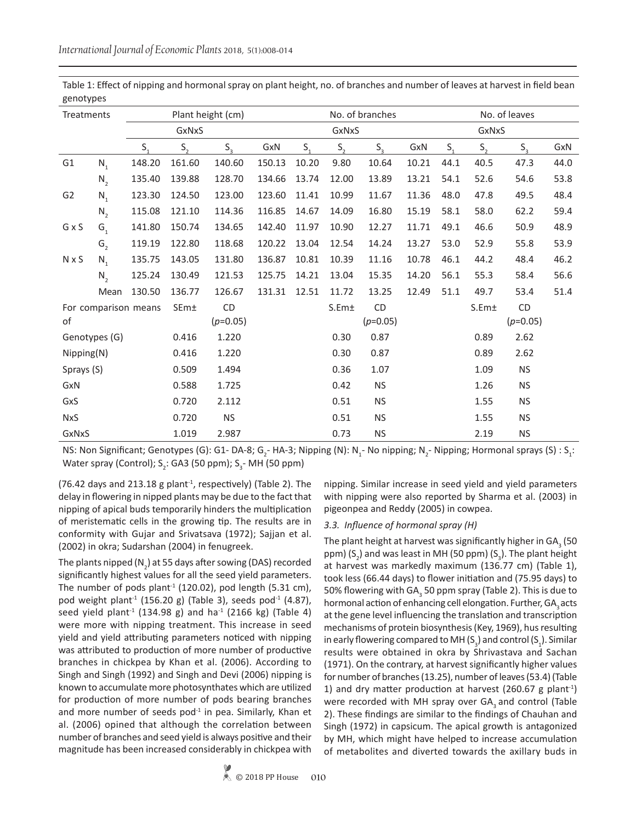| Treatments     |                |                      |                 | Plant height (cm) |        | No. of branches |         |            |       |         | No. of leaves     |             |      |  |
|----------------|----------------|----------------------|-----------------|-------------------|--------|-----------------|---------|------------|-------|---------|-------------------|-------------|------|--|
|                |                |                      | GxNxS           |                   |        |                 | GxNxS   |            |       | GxNxS   |                   |             |      |  |
|                |                | $S_{1}$              | $S_{1}$         | $S_{\rm a}$       | GxN    | $S_{1}$         | $S_{1}$ | $S_{2}$    | GxN   | $S_{1}$ | $S_{1}$           | $S_{\rm a}$ | GxN  |  |
| G <sub>1</sub> | $N_{1}$        | 148.20               | 161.60          | 140.60            | 150.13 | 10.20           | 9.80    | 10.64      | 10.21 | 44.1    | 40.5              | 47.3        | 44.0 |  |
|                | $N_{2}$        | 135.40               | 139.88          | 128.70            | 134.66 | 13.74           | 12.00   | 13.89      | 13.21 | 54.1    | 52.6              | 54.6        | 53.8 |  |
| G <sub>2</sub> | $N_{1}$        | 123.30               | 124.50          | 123.00            | 123.60 | 11.41           | 10.99   | 11.67      | 11.36 | 48.0    | 47.8              | 49.5        | 48.4 |  |
|                | $N_{2}$        | 115.08               | 121.10          | 114.36            | 116.85 | 14.67           | 14.09   | 16.80      | 15.19 | 58.1    | 58.0              | 62.2        | 59.4 |  |
| GxS            | G <sub>1</sub> | 141.80               | 150.74          | 134.65            | 142.40 | 11.97           | 10.90   | 12.27      | 11.71 | 49.1    | 46.6              | 50.9        | 48.9 |  |
|                | G <sub>2</sub> | 119.19               | 122.80          | 118.68            | 120.22 | 13.04           | 12.54   | 14.24      | 13.27 | 53.0    | 52.9              | 55.8        | 53.9 |  |
| <b>N</b> x S   | $N_{1}$        | 135.75               | 143.05          | 131.80            | 136.87 | 10.81           | 10.39   | 11.16      | 10.78 | 46.1    | 44.2              | 48.4        | 46.2 |  |
|                | $N_{2}$        | 125.24               | 130.49          | 121.53            | 125.75 | 14.21           | 13.04   | 15.35      | 14.20 | 56.1    | 55.3              | 58.4        | 56.6 |  |
|                | Mean           | 130.50               | 136.77          | 126.67            | 131.31 | 12.51           | 11.72   | 13.25      | 12.49 | 51.1    | 49.7              | 53.4        | 51.4 |  |
|                |                | For comparison means | SE <sub>m</sub> | CD                |        |                 | S.Em±   | CD         |       |         | S.Em <sub>±</sub> | <b>CD</b>   |      |  |
| 0f             |                |                      |                 | $(p=0.05)$        |        |                 |         | $(p=0.05)$ |       |         |                   | $(p=0.05)$  |      |  |
|                | Genotypes (G)  |                      | 0.416           | 1.220             |        |                 | 0.30    | 0.87       |       |         | 0.89              | 2.62        |      |  |
| Nipping(N)     |                |                      | 0.416           | 1.220             |        |                 | 0.30    | 0.87       |       |         | 0.89              | 2.62        |      |  |
| Sprays (S)     |                |                      | 0.509           | 1.494             |        |                 | 0.36    | 1.07       |       |         | 1.09              | <b>NS</b>   |      |  |
| GxN            |                |                      | 0.588           | 1.725             |        |                 | 0.42    | <b>NS</b>  |       |         | 1.26              | <b>NS</b>   |      |  |
| GxS            |                |                      | 0.720           | 2.112             |        |                 | 0.51    | <b>NS</b>  |       |         | 1.55              | <b>NS</b>   |      |  |
| <b>NxS</b>     |                |                      | 0.720           | <b>NS</b>         |        |                 | 0.51    | <b>NS</b>  |       |         | 1.55              | <b>NS</b>   |      |  |
| GxNxS          |                |                      | 1.019           | 2.987             |        |                 | 0.73    | <b>NS</b>  |       |         | 2.19              | <b>NS</b>   |      |  |

Table 1: Effect of nipping and hormonal spray on plant height, no. of branches and number of leaves at harvest in field bean genotypes

NS: Non Significant; Genotypes (G): G1- DA-8; G<sub>2</sub>- HA-3; Nipping (N): N<sub>1</sub>- No nipping; N<sub>2</sub>- Nipping; Hormonal sprays (S) : S<sub>1</sub>: Water spray (Control);  $S_2$ : GA3 (50 ppm);  $S_3$ - MH (50 ppm)

(76.42 days and 213.18 g plant<sup>-1</sup>, respectively) (Table 2). The delay in flowering in nipped plants may be due to the fact that nipping of apical buds temporarily hinders the multiplication of meristematic cells in the growing tip. The results are in conformity with Gujar and Srivatsava (1972); Sajjan et al. (2002) in okra; Sudarshan (2004) in fenugreek.

The plants nipped (N<sub>2</sub>) at 55 days after sowing (DAS) recorded significantly highest values for all the seed yield parameters. The number of pods plant<sup>-1</sup> (120.02), pod length (5.31 cm), pod weight plant<sup>-1</sup> (156.20 g) (Table 3), seeds pod<sup>-1</sup> (4.87), seed yield plant<sup>-1</sup> (134.98 g) and ha<sup>-1</sup> (2166 kg) (Table 4) were more with nipping treatment. This increase in seed yield and yield attributing parameters noticed with nipping was attributed to production of more number of productive branches in chickpea by Khan et al. (2006). According to Singh and Singh (1992) and Singh and Devi (2006) nipping is known to accumulate more photosynthates which are utilized for production of more number of pods bearing branches and more number of seeds pod $1$  in pea. Similarly, Khan et al. (2006) opined that although the correlation between number of branches and seed yield is always positive and their magnitude has been increased considerably in chickpea with

nipping. Similar increase in seed yield and yield parameters with nipping were also reported by Sharma et al. (2003) in pigeonpea and Reddy (2005) in cowpea.

#### *3.3. Influence of hormonal spray (H)*

The plant height at harvest was significantly higher in GA $_{_3}$  (50  $\,$ ppm)  $(S_2)$  and was least in MH (50 ppm)  $(S_3)$ . The plant height at harvest was markedly maximum (136.77 cm) (Table 1), took less (66.44 days) to flower initiation and (75.95 days) to 50% flowering with GA<sub>3</sub> 50 ppm spray (Table 2). This is due to hormonal action of enhancing cell elongation. Further, GA, acts at the gene level influencing the translation and transcription mechanisms of protein biosynthesis (Key, 1969), hus resulting in early flowering compared to MH (S<sub>3</sub>) and control (S<sub>1</sub>). Similar results were obtained in okra by Shrivastava and Sachan (1971). On the contrary, at harvest significantly higher values for number of branches (13.25), number of leaves (53.4) (Table 1) and dry matter production at harvest (260.67 g plant<sup>-1</sup>) were recorded with MH spray over  $GA_3$  and control (Table 2). These findings are similar to the findings of Chauhan and Singh (1972) in capsicum. The apical growth is antagonized by MH, which might have helped to increase accumulation of metabolites and diverted towards the axillary buds in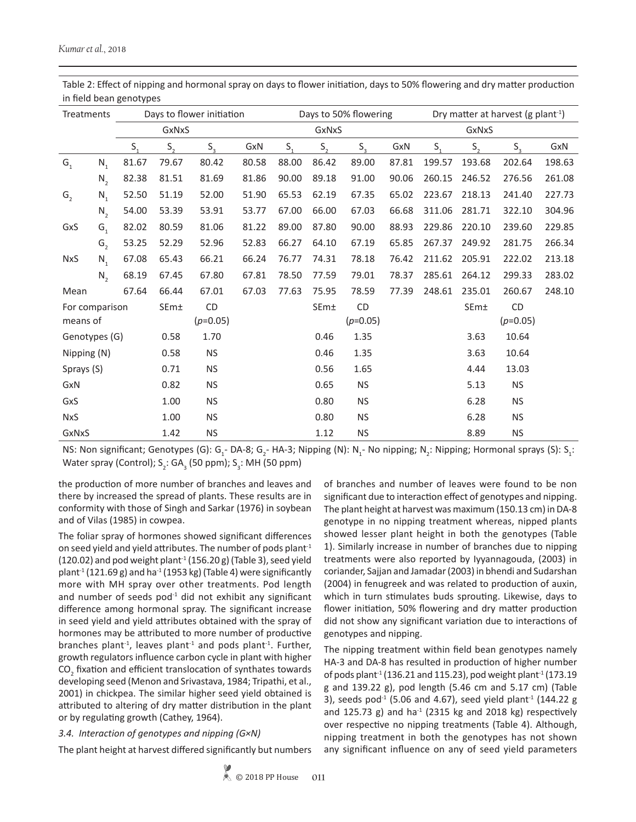| Treatments     |                |       |         | Days to flower initiation |       |         |         | Days to 50% flowering       |       | Dry matter at harvest (g plant <sup>-1</sup> ) |         |                            |        |  |
|----------------|----------------|-------|---------|---------------------------|-------|---------|---------|-----------------------------|-------|------------------------------------------------|---------|----------------------------|--------|--|
| GxNxS          |                |       |         |                           |       | GxNxS   |         | GxNxS                       |       |                                                |         |                            |        |  |
| S,             |                |       | $S_{1}$ | $S_{\rm a}$               | GxN   | $S_{1}$ | $S_{1}$ | $S_{\scriptscriptstyle{2}}$ | GxN   | $S_{1}$                                        | $S_{1}$ | $S_{\scriptscriptstyle 2}$ | GxN    |  |
| $G_{1}$        | $N_{1}$        | 81.67 | 79.67   | 80.42                     | 80.58 | 88.00   | 86.42   | 89.00                       | 87.81 | 199.57                                         | 193.68  | 202.64                     | 198.63 |  |
|                | $N_{2}$        | 82.38 | 81.51   | 81.69                     | 81.86 | 90.00   | 89.18   | 91.00                       | 90.06 | 260.15                                         | 246.52  | 276.56                     | 261.08 |  |
| G <sub>2</sub> | $N_{1}$        | 52.50 | 51.19   | 52.00                     | 51.90 | 65.53   | 62.19   | 67.35                       | 65.02 | 223.67                                         | 218.13  | 241.40                     | 227.73 |  |
|                | $N_{2}$        | 54.00 | 53.39   | 53.91                     | 53.77 | 67.00   | 66.00   | 67.03                       | 66.68 | 311.06                                         | 281.71  | 322.10                     | 304.96 |  |
| GxS            | G <sub>1</sub> | 82.02 | 80.59   | 81.06                     | 81.22 | 89.00   | 87.80   | 90.00                       | 88.93 | 229.86                                         | 220.10  | 239.60                     | 229.85 |  |
|                | G <sub>2</sub> | 53.25 | 52.29   | 52.96                     | 52.83 | 66.27   | 64.10   | 67.19                       | 65.85 | 267.37                                         | 249.92  | 281.75                     | 266.34 |  |
| <b>NxS</b>     | $N_{1}$        | 67.08 | 65.43   | 66.21                     | 66.24 | 76.77   | 74.31   | 78.18                       | 76.42 | 211.62                                         | 205.91  | 222.02                     | 213.18 |  |
|                | $N_{2}$        | 68.19 | 67.45   | 67.80                     | 67.81 | 78.50   | 77.59   | 79.01                       | 78.37 | 285.61                                         | 264.12  | 299.33                     | 283.02 |  |
| Mean           |                | 67.64 | 66.44   | 67.01                     | 67.03 | 77.63   | 75.95   | 78.59                       | 77.39 | 248.61                                         | 235.01  | 260.67                     | 248.10 |  |
| For comparison |                |       | SEm±    | CD                        |       |         | SEm±    | CD                          |       |                                                | SEm±    | CD                         |        |  |
| means of       |                |       |         | $(p=0.05)$                |       |         |         | $(p=0.05)$                  |       |                                                |         | $(p=0.05)$                 |        |  |
| Genotypes (G)  |                |       | 0.58    | 1.70                      |       |         | 0.46    | 1.35                        |       |                                                | 3.63    | 10.64                      |        |  |
| Nipping (N)    |                |       | 0.58    | <b>NS</b>                 |       |         | 0.46    | 1.35                        |       |                                                | 3.63    | 10.64                      |        |  |
| Sprays (S)     |                |       | 0.71    | <b>NS</b>                 |       |         | 0.56    | 1.65                        |       |                                                | 4.44    | 13.03                      |        |  |
| GxN            |                |       | 0.82    | <b>NS</b>                 |       |         | 0.65    | <b>NS</b>                   |       |                                                | 5.13    | <b>NS</b>                  |        |  |
| GxS            |                |       | 1.00    | <b>NS</b>                 |       |         | 0.80    | <b>NS</b>                   |       |                                                | 6.28    | <b>NS</b>                  |        |  |
| <b>NxS</b>     |                |       | 1.00    | <b>NS</b>                 |       |         | 0.80    | <b>NS</b>                   |       |                                                | 6.28    | <b>NS</b>                  |        |  |
| GxNxS          |                |       | 1.42    | <b>NS</b>                 |       |         | 1.12    | <b>NS</b>                   |       |                                                | 8.89    | <b>NS</b>                  |        |  |

Table 2: Effect of nipping and hormonal spray on days to flower initiation, days to 50% flowering and dry matter production in field bean genotypes

NS: Non significant; Genotypes (G): G<sub>1</sub>- DA-8; G<sub>2</sub>- HA-3; Nipping (N): N<sub>1</sub>- No nipping; N<sub>2</sub>: Nipping; Hormonal sprays (S): S<sub>1</sub>: Water spray (Control);  $S_2$ : GA<sub>3</sub> (50 ppm);  $S_3$ : MH (50 ppm)

the production of more number of branches and leaves and there by increased the spread of plants. These results are in conformity with those of Singh and Sarkar (1976) in soybean and of Vilas (1985) in cowpea.

The foliar spray of hormones showed significant differences on seed yield and yield attributes. The number of pods plant $1$  $(120.02)$  and pod weight plant<sup>-1</sup>  $(156.20 g)$  (Table 3), seed yield plant<sup>-1</sup> (121.69 g) and ha<sup>-1</sup> (1953 kg) (Table 4) were significantly more with MH spray over other treatments. Pod length and number of seeds pod $1$  did not exhibit any significant difference among hormonal spray. The significant increase in seed yield and yield attributes obtained with the spray of hormones may be attributed to more number of productive branches plant<sup>-1</sup>, leaves plant<sup>-1</sup> and pods plant<sup>-1</sup>. Further, growth regulators influence carbon cycle in plant with higher  $\mathrm{CO}_2$  fixation and efficient translocation of synthates towards developing seed (Menon and Srivastava, 1984; Tripathi, et al., 2001) in chickpea. The similar higher seed yield obtained is attributed to altering of dry matter distribution in the plant or by regulating growth (Cathey, 1964).

#### *3.4. Interaction of genotypes and nipping (G×N)*

The plant height at harvest differed significantly but numbers

of branches and number of leaves were found to be non significant due to interaction effect of genotypes and nipping. The plant height at harvest was maximum (150.13 cm) in DA-8 genotype in no nipping treatment whereas, nipped plants showed lesser plant height in both the genotypes (Table 1). Similarly increase in number of branches due to nipping treatments were also reported by Iyyannagouda, (2003) in coriander, Sajjan and Jamadar (2003) in bhendi and Sudarshan (2004) in fenugreek and was related to production of auxin, which in turn stimulates buds sprouting. Likewise, days to flower initiation, 50% flowering and dry matter production did not show any significant variation due to interactions of genotypes and nipping.

The nipping treatment within field bean genotypes namely HA-3 and DA-8 has resulted in production of higher number of pods plant<sup>-1</sup> (136.21 and 115.23), pod weight plant<sup>-1</sup> (173.19 g and 139.22 g), pod length (5.46 cm and 5.17 cm) (Table 3), seeds pod<sup>-1</sup> (5.06 and 4.67), seed yield plant<sup>-1</sup> (144.22 g and 125.73 g) and ha<sup>-1</sup> (2315 kg and 2018 kg) respectively over respective no nipping treatments (Table 4). Although, nipping treatment in both the genotypes has not shown any significant influence on any of seed yield parameters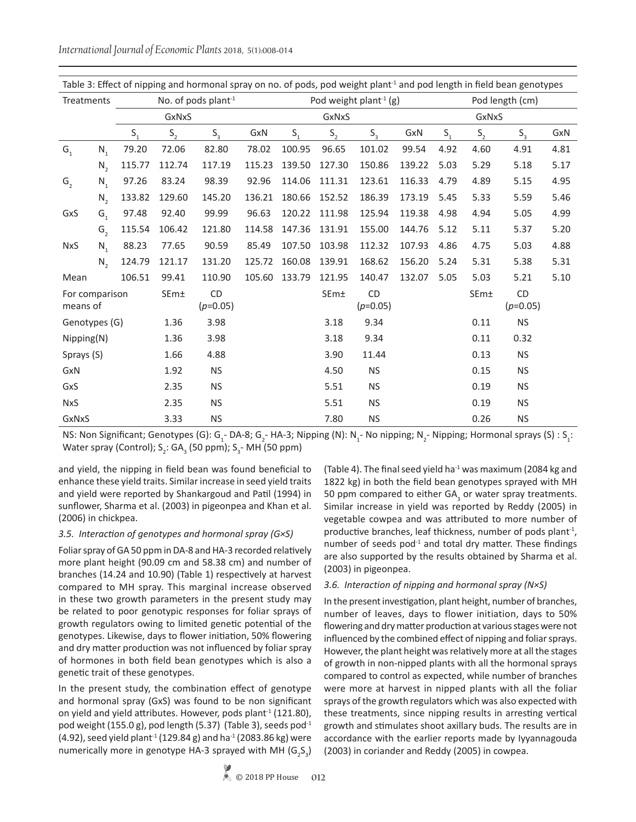*International Journal of Economic Plants* 2018, 5(1):008-014

| Table 3: Effect of hipping and hormonal spray on no. of pods, pod weight plant + and pod length in field bean genotypes |         |         |         |                                 |        |         |         |                                    |        |                 |         |                         |      |
|-------------------------------------------------------------------------------------------------------------------------|---------|---------|---------|---------------------------------|--------|---------|---------|------------------------------------|--------|-----------------|---------|-------------------------|------|
| Treatments                                                                                                              |         |         |         | No. of pods plant <sup>-1</sup> |        |         |         | Pod weight plant <sup>-1</sup> (g) |        | Pod length (cm) |         |                         |      |
| GxNxS                                                                                                                   |         |         |         |                                 |        | GxNxS   |         |                                    |        |                 |         |                         |      |
|                                                                                                                         |         | $S_{1}$ | $S_{2}$ | $S_{\rm a}$                     | GxN    | $S_{1}$ | $S_{1}$ | $S_{\rm a}$                        | GxN    | $S_{1}$         | $S_{2}$ | $S_{\rm a}$             | GxN  |
| G <sub>1</sub>                                                                                                          | $N_{1}$ | 79.20   | 72.06   | 82.80                           | 78.02  | 100.95  | 96.65   | 101.02                             | 99.54  | 4.92            | 4.60    | 4.91                    | 4.81 |
|                                                                                                                         | $N_{2}$ | 115.77  | 112.74  | 117.19                          | 115.23 | 139.50  | 127.30  | 150.86                             | 139.22 | 5.03            | 5.29    | 5.18                    | 5.17 |
| G <sub>2</sub>                                                                                                          | $N_{1}$ | 97.26   | 83.24   | 98.39                           | 92.96  | 114.06  | 111.31  | 123.61                             | 116.33 | 4.79            | 4.89    | 5.15                    | 4.95 |
|                                                                                                                         | $N_{2}$ | 133.82  | 129.60  | 145.20                          | 136.21 | 180.66  | 152.52  | 186.39                             | 173.19 | 5.45            | 5.33    | 5.59                    | 5.46 |
| GxS                                                                                                                     | $G_{1}$ | 97.48   | 92.40   | 99.99                           | 96.63  | 120.22  | 111.98  | 125.94                             | 119.38 | 4.98            | 4.94    | 5.05                    | 4.99 |
|                                                                                                                         | G,      | 115.54  | 106.42  | 121.80                          | 114.58 | 147.36  | 131.91  | 155.00                             | 144.76 | 5.12            | 5.11    | 5.37                    | 5.20 |
| <b>NxS</b>                                                                                                              | $N_{1}$ | 88.23   | 77.65   | 90.59                           | 85.49  | 107.50  | 103.98  | 112.32                             | 107.93 | 4.86            | 4.75    | 5.03                    | 4.88 |
|                                                                                                                         | $N_{2}$ | 124.79  | 121.17  | 131.20                          | 125.72 | 160.08  | 139.91  | 168.62                             | 156.20 | 5.24            | 5.31    | 5.38                    | 5.31 |
| Mean                                                                                                                    |         | 106.51  | 99.41   | 110.90                          | 105.60 | 133.79  | 121.95  | 140.47                             | 132.07 | 5.05            | 5.03    | 5.21                    | 5.10 |
| For comparison<br>means of                                                                                              |         |         | SEm±    | CD<br>$(p=0.05)$                |        |         | SEm±    | <b>CD</b><br>$(p=0.05)$            |        |                 | SEm±    | <b>CD</b><br>$(p=0.05)$ |      |
| Genotypes (G)                                                                                                           |         |         | 1.36    | 3.98                            |        |         | 3.18    | 9.34                               |        |                 | 0.11    | <b>NS</b>               |      |
| Nipping(N)                                                                                                              |         |         | 1.36    | 3.98                            |        |         | 3.18    | 9.34                               |        |                 | 0.11    | 0.32                    |      |
| Sprays (S)                                                                                                              |         |         | 1.66    | 4.88                            |        |         | 3.90    | 11.44                              |        |                 | 0.13    | <b>NS</b>               |      |
| GxN                                                                                                                     |         |         | 1.92    | <b>NS</b>                       |        |         | 4.50    | <b>NS</b>                          |        |                 | 0.15    | <b>NS</b>               |      |
| GxS                                                                                                                     |         |         | 2.35    | <b>NS</b>                       |        |         | 5.51    | <b>NS</b>                          |        |                 | 0.19    | <b>NS</b>               |      |
| <b>NxS</b>                                                                                                              |         |         | 2.35    | <b>NS</b>                       |        |         | 5.51    | <b>NS</b>                          |        |                 | 0.19    | <b>NS</b>               |      |
| GxNxS                                                                                                                   |         |         | 3.33    | <b>NS</b>                       |        |         | 7.80    | <b>NS</b>                          |        |                 | 0.26    | <b>NS</b>               |      |

Table 3: Effect of nipping and hormonal spray on no. of pods, pod weight plant<sup>-1</sup> and pod length in field bean genotypes

NS: Non Significant; Genotypes (G): G<sub>1</sub>-DA-8; G<sub>2</sub>-HA-3; Nipping (N): N<sub>1</sub>-No nipping; N<sub>2</sub>-Nipping; Hormonal sprays (S) : S<sub>1</sub>: Water spray (Control);  $S_2$ : GA<sub>3</sub> (50 ppm);  $S_3$ - MH (50 ppm)

and yield, the nipping in field bean was found beneficial to enhance these yield traits. Similar increase in seed yield traits and yield were reported by Shankargoud and Patil (1994) in sunflower, Sharma et al. (2003) in pigeonpea and Khan et al. (2006) in chickpea.

## *3.5. Interaction of genotypes and hormonal spray (G×S)*

Foliar spray of GA 50 ppm in DA-8 and HA-3 recorded relatively more plant height (90.09 cm and 58.38 cm) and number of branches (14.24 and 10.90) (Table 1) respectively at harvest compared to MH spray. This marginal increase observed in these two growth parameters in the present study may be related to poor genotypic responses for foliar sprays of growth regulators owing to limited genetic potential of the genotypes. Likewise, days to flower initiation, 50% flowering and dry matter production was not influenced by foliar spray of hormones in both field bean genotypes which is also a genetic trait of these genotypes.

In the present study, the combination effect of genotype and hormonal spray (GxS) was found to be non significant on yield and yield attributes. However, pods plant<sup>-1</sup> (121.80), pod weight (155.0 g), pod length (5.37) (Table 3), seeds pod $^{-1}$  $(4.92)$ , seed yield plant<sup>-1</sup> (129.84 g) and ha<sup>-1</sup> (2083.86 kg) were numerically more in genotype HA-3 sprayed with MH  $(G_2S_3)$  (Table 4). The final seed yield ha $^{-1}$  was maximum (2084 kg and 1822 kg) in both the field bean genotypes sprayed with MH 50 ppm compared to either GA<sub>3</sub> or water spray treatments. Similar increase in yield was reported by Reddy (2005) in vegetable cowpea and was attributed to more number of productive branches, leaf thickness, number of pods plant<sup>-1</sup>, number of seeds pod $-1$  and total dry matter. These findings are also supported by the results obtained by Sharma et al. (2003) in pigeonpea.

## *3.6. Interaction of nipping and hormonal spray (N×S)*

In the present investigation, plant height, number of branches, number of leaves, days to flower initiation, days to 50% flowering and dry matter production at various stages were not influenced by the combined effect of nipping and foliar sprays. However, the plant height was relatively more at all the stages of growth in non-nipped plants with all the hormonal sprays compared to control as expected, while number of branches were more at harvest in nipped plants with all the foliar sprays of the growth regulators which was also expected with these treatments, since nipping results in arresting vertical growth and stimulates shoot axillary buds. The results are in accordance with the earlier reports made by Iyyannagouda (2003) in coriander and Reddy (2005) in cowpea.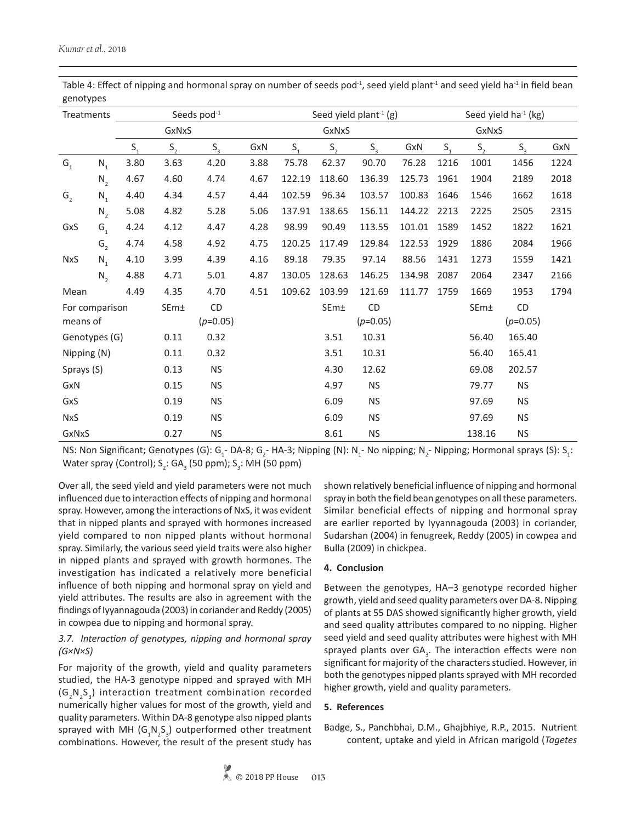| Treatments     |                |         |         | Seeds pod <sup>-1</sup> |      |         | Seed yield plant <sup>-1</sup> (g) |             |        |         |         | Seed yield ha <sup>-1</sup> (kg) |      |  |  |
|----------------|----------------|---------|---------|-------------------------|------|---------|------------------------------------|-------------|--------|---------|---------|----------------------------------|------|--|--|
|                |                |         | GxNxS   |                         |      |         | GxNxS                              |             | GxNxS  |         |         |                                  |      |  |  |
|                |                | $S_{1}$ | $S_{2}$ | $S_{\rm a}$             | GxN  | $S_{1}$ | $S_{1}$                            | $S_{\rm a}$ | GxN    | $S_{1}$ | $S_{1}$ | $S_{\rm o}$                      | GxN  |  |  |
| G <sub>1</sub> | $N_{1}$        | 3.80    | 3.63    | 4.20                    | 3.88 | 75.78   | 62.37                              | 90.70       | 76.28  | 1216    | 1001    | 1456                             | 1224 |  |  |
|                | $N_{2}$        | 4.67    | 4.60    | 4.74                    | 4.67 | 122.19  | 118.60                             | 136.39      | 125.73 | 1961    | 1904    | 2189                             | 2018 |  |  |
| G <sub>2</sub> | $N_{1}$        | 4.40    | 4.34    | 4.57                    | 4.44 | 102.59  | 96.34                              | 103.57      | 100.83 | 1646    | 1546    | 1662                             | 1618 |  |  |
|                | $N_{2}$        | 5.08    | 4.82    | 5.28                    | 5.06 | 137.91  | 138.65                             | 156.11      | 144.22 | 2213    | 2225    | 2505                             | 2315 |  |  |
| GxS            | $G_1$          | 4.24    | 4.12    | 4.47                    | 4.28 | 98.99   | 90.49                              | 113.55      | 101.01 | 1589    | 1452    | 1822                             | 1621 |  |  |
|                | G <sub>2</sub> | 4.74    | 4.58    | 4.92                    | 4.75 | 120.25  | 117.49                             | 129.84      | 122.53 | 1929    | 1886    | 2084                             | 1966 |  |  |
| <b>NxS</b>     | $N_{1}$        | 4.10    | 3.99    | 4.39                    | 4.16 | 89.18   | 79.35                              | 97.14       | 88.56  | 1431    | 1273    | 1559                             | 1421 |  |  |
|                | $N_{2}$        | 4.88    | 4.71    | 5.01                    | 4.87 | 130.05  | 128.63                             | 146.25      | 134.98 | 2087    | 2064    | 2347                             | 2166 |  |  |
| Mean           |                | 4.49    | 4.35    | 4.70                    | 4.51 | 109.62  | 103.99                             | 121.69      | 111.77 | 1759    | 1669    | 1953                             | 1794 |  |  |
| For comparison |                |         | SEm±    | CD                      |      |         | SEm±                               | CD          |        |         | SEm±    | <b>CD</b>                        |      |  |  |
| means of       |                |         |         | $(p=0.05)$              |      |         |                                    | $(p=0.05)$  |        |         |         | $(p=0.05)$                       |      |  |  |
| Genotypes (G)  |                |         | 0.11    | 0.32                    |      |         | 3.51                               | 10.31       |        |         | 56.40   | 165.40                           |      |  |  |
| Nipping (N)    |                |         | 0.11    | 0.32                    |      |         | 3.51                               | 10.31       |        |         | 56.40   | 165.41                           |      |  |  |
| Sprays (S)     |                |         | 0.13    | <b>NS</b>               |      |         | 4.30                               | 12.62       |        |         | 69.08   | 202.57                           |      |  |  |
| GxN            |                |         | 0.15    | <b>NS</b>               |      |         | 4.97                               | <b>NS</b>   |        |         | 79.77   | <b>NS</b>                        |      |  |  |
| GxS            |                |         | 0.19    | <b>NS</b>               |      |         | 6.09                               | <b>NS</b>   |        |         | 97.69   | <b>NS</b>                        |      |  |  |
| <b>NxS</b>     |                |         | 0.19    | <b>NS</b>               |      |         | 6.09                               | <b>NS</b>   |        |         | 97.69   | <b>NS</b>                        |      |  |  |
| GxNxS          |                |         | 0.27    | <b>NS</b>               |      |         | 8.61                               | <b>NS</b>   |        |         | 138.16  | <b>NS</b>                        |      |  |  |

Table 4: Effect of nipping and hormonal spray on number of seeds pod $-1$ , seed yield plant $-1$  and seed yield ha $-1$  in field bean genotypes

NS: Non Significant; Genotypes (G):  $G_1$ - DA-8;  $G_2$ - HA-3; Nipping (N): N<sub>1</sub>- No nipping; N<sub>2</sub>- Nipping; Hormonal sprays (S): S<sub>1</sub>: Water spray (Control);  $S_2$ : GA<sub>3</sub> (50 ppm); S<sub>3</sub>: MH (50 ppm)

Over all, the seed yield and yield parameters were not much influenced due to interaction effects of nipping and hormonal spray. However, among the interactions of NxS, it was evident that in nipped plants and sprayed with hormones increased yield compared to non nipped plants without hormonal spray. Similarly, the various seed yield traits were also higher in nipped plants and sprayed with growth hormones. The investigation has indicated a relatively more beneficial influence of both nipping and hormonal spray on yield and yield attributes. The results are also in agreement with the findings of Iyyannagouda (2003) in coriander and Reddy (2005) in cowpea due to nipping and hormonal spray.

## *3.7. Interaction of genotypes, nipping and hormonal spray (G×N×S)*

For majority of the growth, yield and quality parameters studied, the HA-3 genotype nipped and sprayed with MH  $(G_2N_2S_3)$  interaction treatment combination recorded numerically higher values for most of the growth, yield and quality parameters. Within DA-8 genotype also nipped plants sprayed with MH  $(G_{1}N_{2}S_{3})$  outperformed other treatment combinations. However, the result of the present study has

shown relatively beneficial influence of nipping and hormonal spray in both the field bean genotypes on all these parameters. Similar beneficial effects of nipping and hormonal spray are earlier reported by Iyyannagouda (2003) in coriander, Sudarshan (2004) in fenugreek, Reddy (2005) in cowpea and Bulla (2009) in chickpea.

## **4. Conclusion**

Between the genotypes, HA–3 genotype recorded higher growth, yield and seed quality parameters over DA-8. Nipping of plants at 55 DAS showed significantly higher growth, yield and seed quality attributes compared to no nipping. Higher seed yield and seed quality attributes were highest with MH sprayed plants over GA<sub>3</sub>. The interaction effects were non significant for majority of the characters studied. However, in both the genotypes nipped plants sprayed with MH recorded higher growth, yield and quality parameters.

## **5. References**

Badge, S., Panchbhai, D.M., Ghajbhiye, R.P., 2015. Nutrient content, uptake and yield in African marigold (*Tagetes*